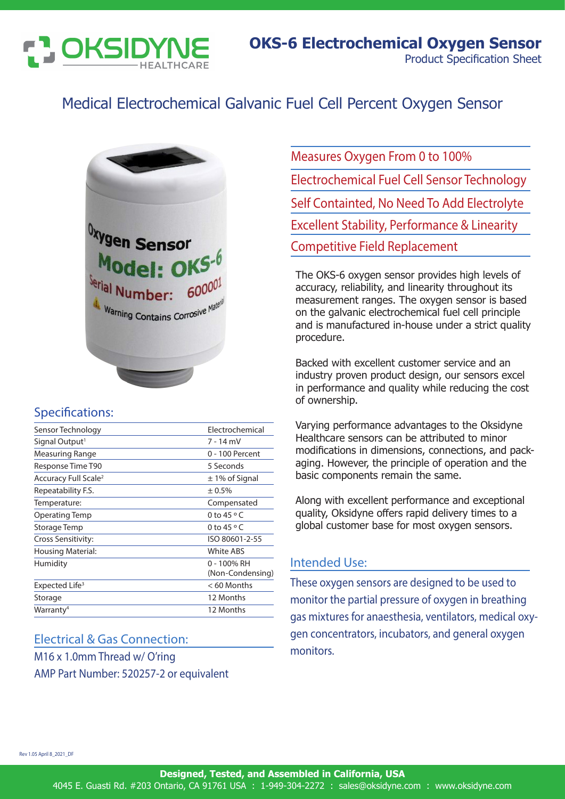

# Medical Electrochemical Galvanic Fuel Cell Percent Oxygen Sensor



## Specifications:

| Sensor Technology                | Electrochemical                 |
|----------------------------------|---------------------------------|
| Signal Output <sup>1</sup>       | 7 - 14 mV                       |
| Measuring Range                  | 0 - 100 Percent                 |
| Response Time T90                | 5 Seconds                       |
| Accuracy Full Scale <sup>2</sup> | $\pm$ 1% of Signal              |
| Repeatability F.S.               | ± 0.5%                          |
| Temperature:                     | Compensated                     |
| Operating Temp                   | 0 to $45^{\circ}$ C             |
| Storage Temp                     | 0 to 45 $\circ$ C               |
| Cross Sensitivity:               | ISO 80601-2-55                  |
| <b>Housing Material:</b>         | <b>White ABS</b>                |
| Humidity                         | 0 - 100% RH<br>(Non-Condensing) |
| Expected Life <sup>3</sup>       | < 60 Months                     |
| Storage                          | 12 Months                       |
| Warranty <sup>4</sup>            | 12 Months                       |

### Electrical & Gas Connection:

M16 x 1.0mm Thread w/ O'ring AMP Part Number: 520257-2 or equivalent Measures Oxygen From 0 to 100% Electrochemical Fuel Cell Sensor Technology Self Containted, No Need To Add Electrolyte Excellent Stability, Performance & Linearity Competitive Field Replacement

The OKS-6 oxygen sensor provides high levels of accuracy, reliability, and linearity throughout its measurement ranges. The oxygen sensor is based on the galvanic electrochemical fuel cell principle and is manufactured in-house under a strict quality procedure.

Backed with excellent customer service and an industry proven product design, our sensors excel in performance and quality while reducing the cost of ownership.

Varying performance advantages to the Oksidyne Healthcare sensors can be attributed to minor modifications in dimensions, connections, and packaging. However, the principle of operation and the basic components remain the same.

Along with excellent performance and exceptional quality, Oksidyne offers rapid delivery times to a global customer base for most oxygen sensors.

### Intended Use:

These oxygen sensors are designed to be used to monitor the partial pressure of oxygen in breathing gas mixtures for anaesthesia, ventilators, medical oxygen concentrators, incubators, and general oxygen monitors.

Rev 1.05 April 8\_2021\_DF